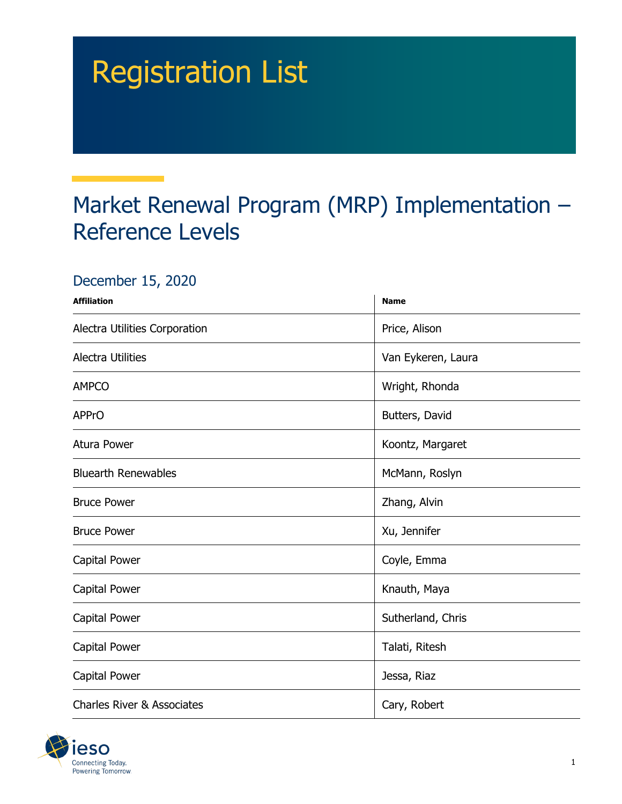## Registration List

## Market Renewal Program (MRP) Implementation – Reference Levels

## December 15, 2020

| <b>Affiliation</b>                    | <b>Name</b>        |
|---------------------------------------|--------------------|
| Alectra Utilities Corporation         | Price, Alison      |
| <b>Alectra Utilities</b>              | Van Eykeren, Laura |
| <b>AMPCO</b>                          | Wright, Rhonda     |
| <b>APPrO</b>                          | Butters, David     |
| Atura Power                           | Koontz, Margaret   |
| <b>Bluearth Renewables</b>            | McMann, Roslyn     |
| <b>Bruce Power</b>                    | Zhang, Alvin       |
| <b>Bruce Power</b>                    | Xu, Jennifer       |
| Capital Power                         | Coyle, Emma        |
| Capital Power                         | Knauth, Maya       |
| Capital Power                         | Sutherland, Chris  |
| Capital Power                         | Talati, Ritesh     |
| Capital Power                         | Jessa, Riaz        |
| <b>Charles River &amp; Associates</b> | Cary, Robert       |

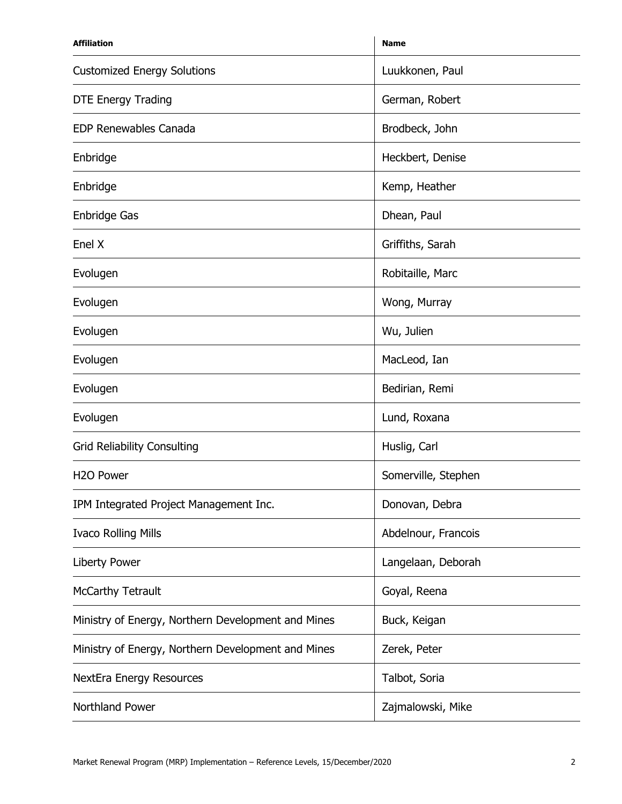| <b>Affiliation</b>                                 | <b>Name</b>         |
|----------------------------------------------------|---------------------|
| <b>Customized Energy Solutions</b>                 | Luukkonen, Paul     |
| <b>DTE Energy Trading</b>                          | German, Robert      |
| <b>EDP Renewables Canada</b>                       | Brodbeck, John      |
| Enbridge                                           | Heckbert, Denise    |
| Enbridge                                           | Kemp, Heather       |
| <b>Enbridge Gas</b>                                | Dhean, Paul         |
| Enel X                                             | Griffiths, Sarah    |
| Evolugen                                           | Robitaille, Marc    |
| Evolugen                                           | Wong, Murray        |
| Evolugen                                           | Wu, Julien          |
| Evolugen                                           | MacLeod, Ian        |
| Evolugen                                           | Bedirian, Remi      |
| Evolugen                                           | Lund, Roxana        |
| <b>Grid Reliability Consulting</b>                 | Huslig, Carl        |
| H <sub>2</sub> O Power                             | Somerville, Stephen |
| IPM Integrated Project Management Inc.             | Donovan, Debra      |
| <b>Ivaco Rolling Mills</b>                         | Abdelnour, Francois |
| <b>Liberty Power</b>                               | Langelaan, Deborah  |
| McCarthy Tetrault                                  | Goyal, Reena        |
| Ministry of Energy, Northern Development and Mines | Buck, Keigan        |
| Ministry of Energy, Northern Development and Mines | Zerek, Peter        |
| <b>NextEra Energy Resources</b>                    | Talbot, Soria       |
| Northland Power                                    | Zajmalowski, Mike   |